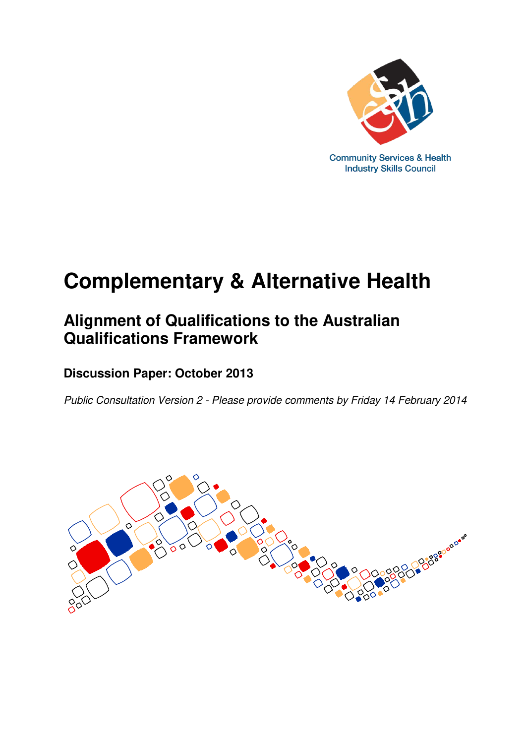

# **Complementary & Alternative Health**

## **Alignment of Qualifications to the Australian Qualifications Framework**

### **Discussion Paper: October 2013**

Public Consultation Version 2 - Please provide comments by Friday 14 February 2014

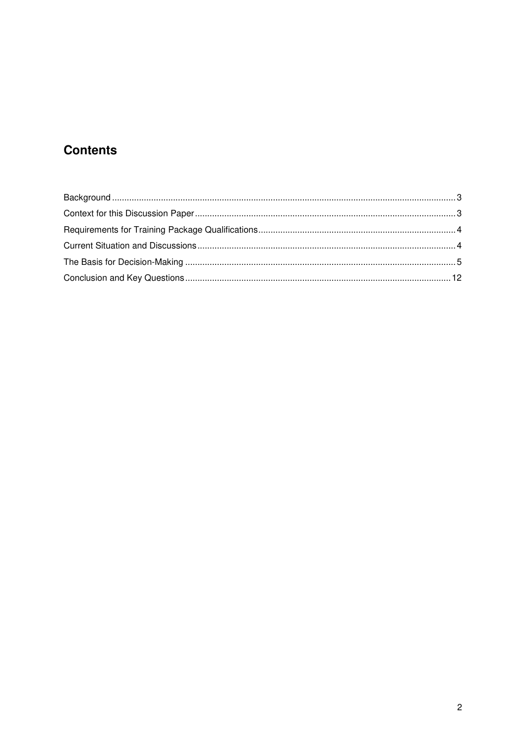### **Contents**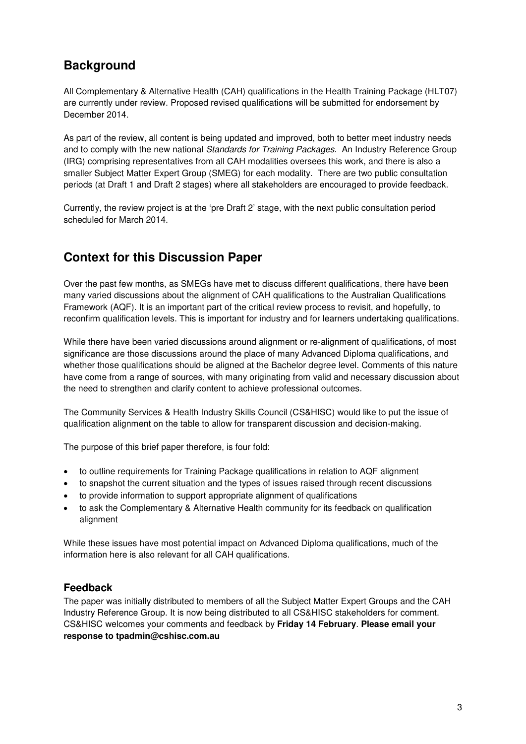#### **Background**

All Complementary & Alternative Health (CAH) qualifications in the Health Training Package (HLT07) are currently under review. Proposed revised qualifications will be submitted for endorsement by December 2014.

As part of the review, all content is being updated and improved, both to better meet industry needs and to comply with the new national Standards for Training Packages. An Industry Reference Group (IRG) comprising representatives from all CAH modalities oversees this work, and there is also a smaller Subject Matter Expert Group (SMEG) for each modality. There are two public consultation periods (at Draft 1 and Draft 2 stages) where all stakeholders are encouraged to provide feedback.

Currently, the review project is at the 'pre Draft 2' stage, with the next public consultation period scheduled for March 2014.

#### **Context for this Discussion Paper**

Over the past few months, as SMEGs have met to discuss different qualifications, there have been many varied discussions about the alignment of CAH qualifications to the Australian Qualifications Framework (AQF). It is an important part of the critical review process to revisit, and hopefully, to reconfirm qualification levels. This is important for industry and for learners undertaking qualifications.

While there have been varied discussions around alignment or re-alignment of qualifications, of most significance are those discussions around the place of many Advanced Diploma qualifications, and whether those qualifications should be aligned at the Bachelor degree level. Comments of this nature have come from a range of sources, with many originating from valid and necessary discussion about the need to strengthen and clarify content to achieve professional outcomes.

The Community Services & Health Industry Skills Council (CS&HISC) would like to put the issue of qualification alignment on the table to allow for transparent discussion and decision-making.

The purpose of this brief paper therefore, is four fold:

- to outline requirements for Training Package qualifications in relation to AQF alignment
- to snapshot the current situation and the types of issues raised through recent discussions
- to provide information to support appropriate alignment of qualifications
- to ask the Complementary & Alternative Health community for its feedback on qualification alignment

While these issues have most potential impact on Advanced Diploma qualifications, much of the information here is also relevant for all CAH qualifications.

#### **Feedback**

The paper was initially distributed to members of all the Subject Matter Expert Groups and the CAH Industry Reference Group. It is now being distributed to all CS&HISC stakeholders for comment. CS&HISC welcomes your comments and feedback by **Friday 14 February**. **Please email your response to tpadmin@cshisc.com.au**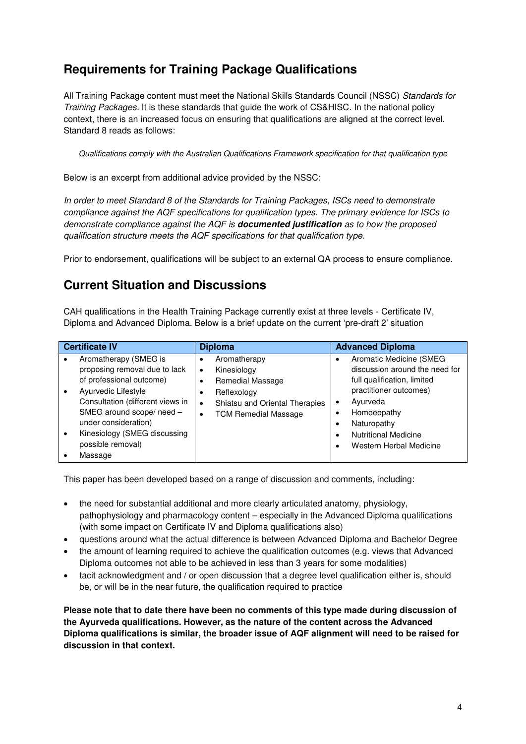### **Requirements for Training Package Qualifications**

All Training Package content must meet the National Skills Standards Council (NSSC) Standards for Training Packages. It is these standards that guide the work of CS&HISC. In the national policy context, there is an increased focus on ensuring that qualifications are aligned at the correct level. Standard 8 reads as follows:

Qualifications comply with the Australian Qualifications Framework specification for that qualification type

Below is an excerpt from additional advice provided by the NSSC:

In order to meet Standard 8 of the Standards for Training Packages, ISCs need to demonstrate compliance against the AQF specifications for qualification types. The primary evidence for ISCs to demonstrate compliance against the AQF is **documented justification** as to how the proposed qualification structure meets the AQF specifications for that qualification type.

Prior to endorsement, qualifications will be subject to an external QA process to ensure compliance.

#### **Current Situation and Discussions**

CAH qualifications in the Health Training Package currently exist at three levels - Certificate IV, Diploma and Advanced Diploma. Below is a brief update on the current 'pre-draft 2' situation

| <b>Certificate IV</b>                                                                                                                                                                                                              | <b>Diploma</b>                                                                                                                                                           | <b>Advanced Diploma</b>                                                                                                                                                                     |
|------------------------------------------------------------------------------------------------------------------------------------------------------------------------------------------------------------------------------------|--------------------------------------------------------------------------------------------------------------------------------------------------------------------------|---------------------------------------------------------------------------------------------------------------------------------------------------------------------------------------------|
| Aromatherapy (SMEG is<br>proposing removal due to lack<br>of professional outcome)<br>Ayurvedic Lifestyle<br>Consultation (different views in<br>SMEG around scope/ need -<br>under consideration)<br>Kinesiology (SMEG discussing | Aromatherapy<br>٠<br>Kinesiology<br>$\bullet$<br>Remedial Massage<br>Reflexology<br>٠<br>Shiatsu and Oriental Therapies<br>$\bullet$<br><b>TCM Remedial Massage</b><br>٠ | Aromatic Medicine (SMEG<br>discussion around the need for<br>full qualification, limited<br>practitioner outcomes)<br>Ayurveda<br>Homoeopathy<br>Naturopathy<br><b>Nutritional Medicine</b> |
| possible removal)<br>Massage                                                                                                                                                                                                       |                                                                                                                                                                          | Western Herbal Medicine                                                                                                                                                                     |

This paper has been developed based on a range of discussion and comments, including:

- the need for substantial additional and more clearly articulated anatomy, physiology, pathophysiology and pharmacology content – especially in the Advanced Diploma qualifications (with some impact on Certificate IV and Diploma qualifications also)
- questions around what the actual difference is between Advanced Diploma and Bachelor Degree
- the amount of learning required to achieve the qualification outcomes (e.g. views that Advanced Diploma outcomes not able to be achieved in less than 3 years for some modalities)
- tacit acknowledgment and / or open discussion that a degree level qualification either is, should be, or will be in the near future, the qualification required to practice

**Please note that to date there have been no comments of this type made during discussion of the Ayurveda qualifications. However, as the nature of the content across the Advanced Diploma qualifications is similar, the broader issue of AQF alignment will need to be raised for discussion in that context.**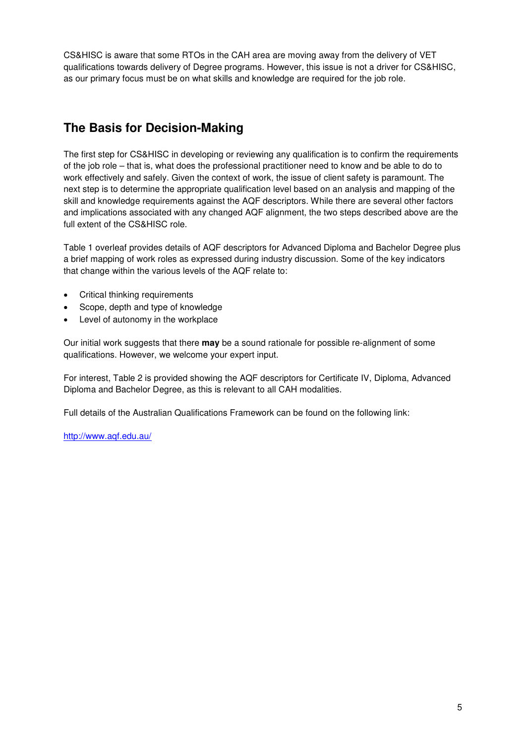CS&HISC is aware that some RTOs in the CAH area are moving away from the delivery of VET qualifications towards delivery of Degree programs. However, this issue is not a driver for CS&HISC, as our primary focus must be on what skills and knowledge are required for the job role.

### **The Basis for Decision-Making**

The first step for CS&HISC in developing or reviewing any qualification is to confirm the requirements of the job role – that is, what does the professional practitioner need to know and be able to do to work effectively and safely. Given the context of work, the issue of client safety is paramount. The next step is to determine the appropriate qualification level based on an analysis and mapping of the skill and knowledge requirements against the AQF descriptors. While there are several other factors and implications associated with any changed AQF alignment, the two steps described above are the full extent of the CS&HISC role.

Table 1 overleaf provides details of AQF descriptors for Advanced Diploma and Bachelor Degree plus a brief mapping of work roles as expressed during industry discussion. Some of the key indicators that change within the various levels of the AQF relate to:

- Critical thinking requirements
- Scope, depth and type of knowledge
- Level of autonomy in the workplace

Our initial work suggests that there **may** be a sound rationale for possible re-alignment of some qualifications. However, we welcome your expert input.

For interest, Table 2 is provided showing the AQF descriptors for Certificate IV, Diploma, Advanced Diploma and Bachelor Degree, as this is relevant to all CAH modalities.

Full details of the Australian Qualifications Framework can be found on the following link:

<http://www.aqf.edu.au/>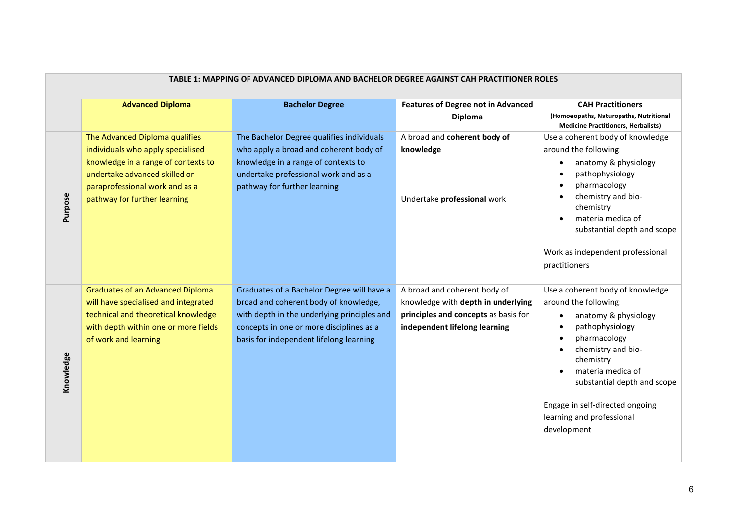| TABLE 1: MAPPING OF ADVANCED DIPLOMA AND BACHELOR DEGREE AGAINST CAH PRACTITIONER ROLES |                                                                                                                                                                                                               |                                                                                                                                                                                                                           |                                                                                                                                             |                                                                                                                                                                                                                                                                                                         |
|-----------------------------------------------------------------------------------------|---------------------------------------------------------------------------------------------------------------------------------------------------------------------------------------------------------------|---------------------------------------------------------------------------------------------------------------------------------------------------------------------------------------------------------------------------|---------------------------------------------------------------------------------------------------------------------------------------------|---------------------------------------------------------------------------------------------------------------------------------------------------------------------------------------------------------------------------------------------------------------------------------------------------------|
|                                                                                         | <b>Advanced Diploma</b>                                                                                                                                                                                       | <b>Bachelor Degree</b>                                                                                                                                                                                                    | <b>Features of Degree not in Advanced</b><br><b>Diploma</b>                                                                                 | <b>CAH Practitioners</b><br>(Homoeopaths, Naturopaths, Nutritional<br><b>Medicine Practitioners, Herbalists)</b>                                                                                                                                                                                        |
| Purpose                                                                                 | The Advanced Diploma qualifies<br>individuals who apply specialised<br>knowledge in a range of contexts to<br>undertake advanced skilled or<br>paraprofessional work and as a<br>pathway for further learning | The Bachelor Degree qualifies individuals<br>who apply a broad and coherent body of<br>knowledge in a range of contexts to<br>undertake professional work and as a<br>pathway for further learning                        | A broad and coherent body of<br>knowledge<br>Undertake professional work                                                                    | Use a coherent body of knowledge<br>around the following:<br>anatomy & physiology<br>pathophysiology<br>pharmacology<br>chemistry and bio-<br>chemistry<br>materia medica of<br>substantial depth and scope<br>Work as independent professional<br>practitioners                                        |
| Knowledge                                                                               | <b>Graduates of an Advanced Diploma</b><br>will have specialised and integrated<br>technical and theoretical knowledge<br>with depth within one or more fields<br>of work and learning                        | Graduates of a Bachelor Degree will have a<br>broad and coherent body of knowledge,<br>with depth in the underlying principles and<br>concepts in one or more disciplines as a<br>basis for independent lifelong learning | A broad and coherent body of<br>knowledge with depth in underlying<br>principles and concepts as basis for<br>independent lifelong learning | Use a coherent body of knowledge<br>around the following:<br>anatomy & physiology<br>$\bullet$<br>pathophysiology<br>pharmacology<br>chemistry and bio-<br>chemistry<br>materia medica of<br>substantial depth and scope<br>Engage in self-directed ongoing<br>learning and professional<br>development |

#### **TABLE 1: MAPPING OF ADVANCED DIPLOMA AND BACHELOR DEGREE AGAINST CAH PRACTITIONER ROLES**

**The Committee Committee Committee**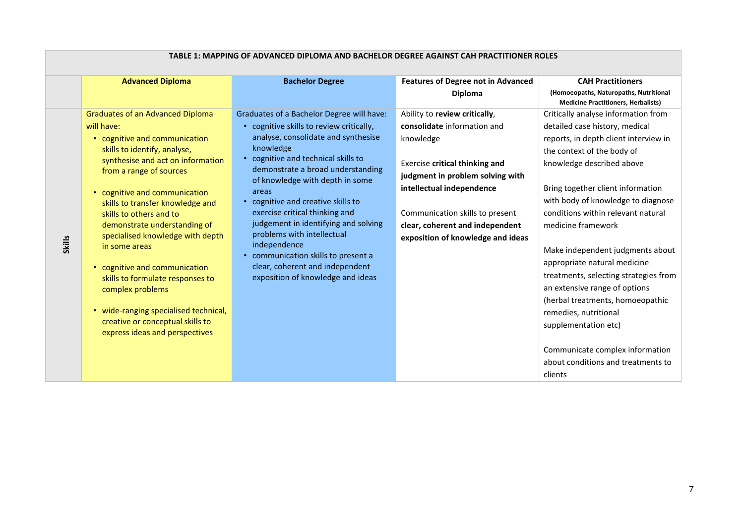| <b>Advanced Diploma</b><br><b>Bachelor Degree</b><br><b>Features of Degree not in Advanced</b>                                                                                                                                                                                                                                                                                                                                                                                                                                                                                                                                                                                                                                                                                                                                                                                                                                                                                                                                                                                                                                                                                                                                                                                                                                                                                                                                                                                                                                                                                      |                                                                                                                                                                                                                                                                                                                                                                                                                                                                                            |
|-------------------------------------------------------------------------------------------------------------------------------------------------------------------------------------------------------------------------------------------------------------------------------------------------------------------------------------------------------------------------------------------------------------------------------------------------------------------------------------------------------------------------------------------------------------------------------------------------------------------------------------------------------------------------------------------------------------------------------------------------------------------------------------------------------------------------------------------------------------------------------------------------------------------------------------------------------------------------------------------------------------------------------------------------------------------------------------------------------------------------------------------------------------------------------------------------------------------------------------------------------------------------------------------------------------------------------------------------------------------------------------------------------------------------------------------------------------------------------------------------------------------------------------------------------------------------------------|--------------------------------------------------------------------------------------------------------------------------------------------------------------------------------------------------------------------------------------------------------------------------------------------------------------------------------------------------------------------------------------------------------------------------------------------------------------------------------------------|
|                                                                                                                                                                                                                                                                                                                                                                                                                                                                                                                                                                                                                                                                                                                                                                                                                                                                                                                                                                                                                                                                                                                                                                                                                                                                                                                                                                                                                                                                                                                                                                                     | <b>CAH Practitioners</b>                                                                                                                                                                                                                                                                                                                                                                                                                                                                   |
| <b>Diploma</b>                                                                                                                                                                                                                                                                                                                                                                                                                                                                                                                                                                                                                                                                                                                                                                                                                                                                                                                                                                                                                                                                                                                                                                                                                                                                                                                                                                                                                                                                                                                                                                      | (Homoeopaths, Naturopaths, Nutritional<br><b>Medicine Practitioners, Herbalists)</b>                                                                                                                                                                                                                                                                                                                                                                                                       |
| Graduates of an Advanced Diploma<br>Graduates of a Bachelor Degree will have:<br>Ability to review critically,<br>• cognitive skills to review critically,<br>consolidate information and<br>will have:<br>analyse, consolidate and synthesise<br>• cognitive and communication<br>knowledge<br>knowledge<br>skills to identify, analyse,<br>the context of the body of<br>• cognitive and technical skills to<br>synthesise and act on information<br>Exercise critical thinking and<br>knowledge described above<br>demonstrate a broad understanding<br>from a range of sources<br>judgment in problem solving with<br>of knowledge with depth in some<br>intellectual independence<br>areas<br>cognitive and communication<br>• cognitive and creative skills to<br>skills to transfer knowledge and<br>exercise critical thinking and<br>Communication skills to present<br>skills to others and to<br>judgement in identifying and solving<br>demonstrate understanding of<br>clear, coherent and independent<br>medicine framework<br>problems with intellectual<br>specialised knowledge with depth<br>exposition of knowledge and ideas<br><b>Skills</b><br>independence<br>in some areas<br>• communication skills to present a<br>clear, coherent and independent<br>cognitive and communication<br>exposition of knowledge and ideas<br>skills to formulate responses to<br>complex problems<br>• wide-ranging specialised technical,<br>remedies, nutritional<br>creative or conceptual skills to<br>supplementation etc)<br>express ideas and perspectives<br>clients | Critically analyse information from<br>detailed case history, medical<br>reports, in depth client interview in<br>Bring together client information<br>with body of knowledge to diagnose<br>conditions within relevant natural<br>Make independent judgments about<br>appropriate natural medicine<br>treatments, selecting strategies from<br>an extensive range of options<br>(herbal treatments, homoeopathic<br>Communicate complex information<br>about conditions and treatments to |

#### **TABLE 1: MAPPING OF ADVANCED DIPLOMA AND BACHELOR DEGREE AGAINST CAH PRACTITIONER ROLES**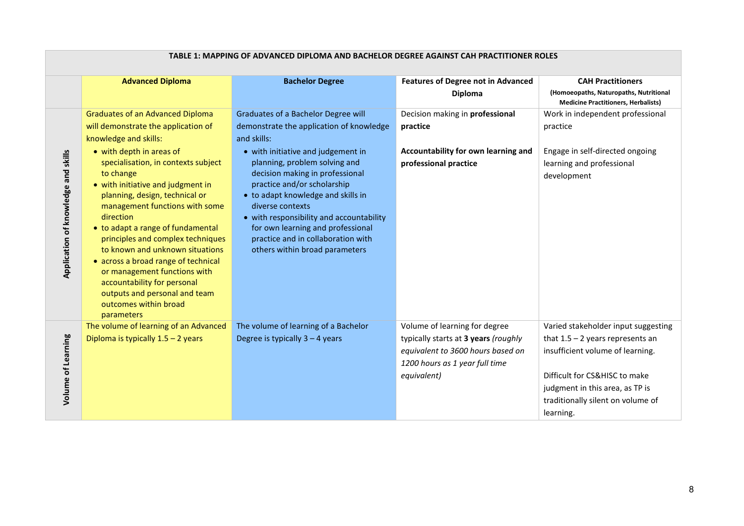|                                     | <b>Advanced Diploma</b>                                                                                                                                                                                                                                                                                                                                                                                                                                           | <b>Bachelor Degree</b>                                                                                                                                                                                                                                                                                             | <b>Features of Degree not in Advanced</b>                                                                                                                   | <b>CAH Practitioners</b>                                                                                                                                                                                                            |
|-------------------------------------|-------------------------------------------------------------------------------------------------------------------------------------------------------------------------------------------------------------------------------------------------------------------------------------------------------------------------------------------------------------------------------------------------------------------------------------------------------------------|--------------------------------------------------------------------------------------------------------------------------------------------------------------------------------------------------------------------------------------------------------------------------------------------------------------------|-------------------------------------------------------------------------------------------------------------------------------------------------------------|-------------------------------------------------------------------------------------------------------------------------------------------------------------------------------------------------------------------------------------|
|                                     |                                                                                                                                                                                                                                                                                                                                                                                                                                                                   |                                                                                                                                                                                                                                                                                                                    | Diploma                                                                                                                                                     | (Homoeopaths, Naturopaths, Nutritional<br><b>Medicine Practitioners, Herbalists)</b>                                                                                                                                                |
|                                     | <b>Graduates of an Advanced Diploma</b><br>will demonstrate the application of<br>knowledge and skills:<br>• with depth in areas of                                                                                                                                                                                                                                                                                                                               | Graduates of a Bachelor Degree will<br>demonstrate the application of knowledge<br>and skills:<br>• with initiative and judgement in                                                                                                                                                                               | Decision making in professional<br>practice<br>Accountability for own learning and                                                                          | Work in independent professional<br>practice<br>Engage in self-directed ongoing                                                                                                                                                     |
| Application of knowledge and skills | specialisation, in contexts subject<br>to change<br>• with initiative and judgment in<br>planning, design, technical or<br>management functions with some<br>direction<br>• to adapt a range of fundamental<br>principles and complex techniques<br>to known and unknown situations<br>• across a broad range of technical<br>or management functions with<br>accountability for personal<br>outputs and personal and team<br>outcomes within broad<br>parameters | planning, problem solving and<br>decision making in professional<br>practice and/or scholarship<br>• to adapt knowledge and skills in<br>diverse contexts<br>• with responsibility and accountability<br>for own learning and professional<br>practice and in collaboration with<br>others within broad parameters | professional practice                                                                                                                                       | learning and professional<br>development                                                                                                                                                                                            |
| Volume of Learning                  | The volume of learning of an Advanced<br>Diploma is typically $1.5 - 2$ years                                                                                                                                                                                                                                                                                                                                                                                     | The volume of learning of a Bachelor<br>Degree is typically $3 - 4$ years                                                                                                                                                                                                                                          | Volume of learning for degree<br>typically starts at 3 years (roughly<br>equivalent to 3600 hours based on<br>1200 hours as 1 year full time<br>equivalent) | Varied stakeholder input suggesting<br>that $1.5 - 2$ years represents an<br>insufficient volume of learning.<br>Difficult for CS&HISC to make<br>judgment in this area, as TP is<br>traditionally silent on volume of<br>learning. |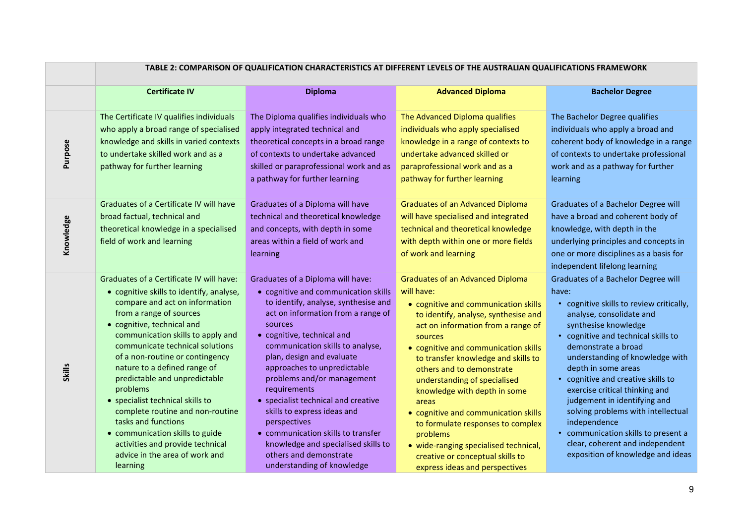|               | TABLE 2: COMPARISON OF QUALIFICATION CHARACTERISTICS AT DIFFERENT LEVELS OF THE AUSTRALIAN QUALIFICATIONS FRAMEWORK                                                                                                                                                                                                                                                                                                                                                                                                                                                                         |                                                                                                                                                                                                                                                                                                                                                                                                                                                                                                                                                                           |                                                                                                                                                                                                                                                                                                                                                                                                                                                                                                                                                                                     |                                                                                                                                                                                                                                                                                                                                                                                                                                                                                                                                                   |
|---------------|---------------------------------------------------------------------------------------------------------------------------------------------------------------------------------------------------------------------------------------------------------------------------------------------------------------------------------------------------------------------------------------------------------------------------------------------------------------------------------------------------------------------------------------------------------------------------------------------|---------------------------------------------------------------------------------------------------------------------------------------------------------------------------------------------------------------------------------------------------------------------------------------------------------------------------------------------------------------------------------------------------------------------------------------------------------------------------------------------------------------------------------------------------------------------------|-------------------------------------------------------------------------------------------------------------------------------------------------------------------------------------------------------------------------------------------------------------------------------------------------------------------------------------------------------------------------------------------------------------------------------------------------------------------------------------------------------------------------------------------------------------------------------------|---------------------------------------------------------------------------------------------------------------------------------------------------------------------------------------------------------------------------------------------------------------------------------------------------------------------------------------------------------------------------------------------------------------------------------------------------------------------------------------------------------------------------------------------------|
|               | <b>Certificate IV</b>                                                                                                                                                                                                                                                                                                                                                                                                                                                                                                                                                                       | <b>Diploma</b>                                                                                                                                                                                                                                                                                                                                                                                                                                                                                                                                                            | <b>Advanced Diploma</b>                                                                                                                                                                                                                                                                                                                                                                                                                                                                                                                                                             | <b>Bachelor Degree</b>                                                                                                                                                                                                                                                                                                                                                                                                                                                                                                                            |
| Purpose       | The Certificate IV qualifies individuals<br>who apply a broad range of specialised<br>knowledge and skills in varied contexts<br>to undertake skilled work and as a<br>pathway for further learning                                                                                                                                                                                                                                                                                                                                                                                         | The Diploma qualifies individuals who<br>apply integrated technical and<br>theoretical concepts in a broad range<br>of contexts to undertake advanced<br>skilled or paraprofessional work and as<br>a pathway for further learning                                                                                                                                                                                                                                                                                                                                        | The Advanced Diploma qualifies<br>individuals who apply specialised<br>knowledge in a range of contexts to<br>undertake advanced skilled or<br>paraprofessional work and as a<br>pathway for further learning                                                                                                                                                                                                                                                                                                                                                                       | The Bachelor Degree qualifies<br>individuals who apply a broad and<br>coherent body of knowledge in a range<br>of contexts to undertake professional<br>work and as a pathway for further<br>learning                                                                                                                                                                                                                                                                                                                                             |
| Knowledge     | Graduates of a Certificate IV will have<br>broad factual, technical and<br>theoretical knowledge in a specialised<br>field of work and learning                                                                                                                                                                                                                                                                                                                                                                                                                                             | Graduates of a Diploma will have<br>technical and theoretical knowledge<br>and concepts, with depth in some<br>areas within a field of work and<br>learning                                                                                                                                                                                                                                                                                                                                                                                                               | <b>Graduates of an Advanced Diploma</b><br>will have specialised and integrated<br>technical and theoretical knowledge<br>with depth within one or more fields<br>of work and learning                                                                                                                                                                                                                                                                                                                                                                                              | Graduates of a Bachelor Degree will<br>have a broad and coherent body of<br>knowledge, with depth in the<br>underlying principles and concepts in<br>one or more disciplines as a basis for<br>independent lifelong learning                                                                                                                                                                                                                                                                                                                      |
| <b>Skills</b> | Graduates of a Certificate IV will have:<br>• cognitive skills to identify, analyse,<br>compare and act on information<br>from a range of sources<br>• cognitive, technical and<br>communication skills to apply and<br>communicate technical solutions<br>of a non-routine or contingency<br>nature to a defined range of<br>predictable and unpredictable<br>problems<br>• specialist technical skills to<br>complete routine and non-routine<br>tasks and functions<br>• communication skills to guide<br>activities and provide technical<br>advice in the area of work and<br>learning | Graduates of a Diploma will have:<br>• cognitive and communication skills<br>to identify, analyse, synthesise and<br>act on information from a range of<br>sources<br>• cognitive, technical and<br>communication skills to analyse,<br>plan, design and evaluate<br>approaches to unpredictable<br>problems and/or management<br>requirements<br>• specialist technical and creative<br>skills to express ideas and<br>perspectives<br>• communication skills to transfer<br>knowledge and specialised skills to<br>others and demonstrate<br>understanding of knowledge | <b>Graduates of an Advanced Diploma</b><br>will have:<br>• cognitive and communication skills<br>to identify, analyse, synthesise and<br>act on information from a range of<br>sources<br>• cognitive and communication skills<br>to transfer knowledge and skills to<br>others and to demonstrate<br>understanding of specialised<br>knowledge with depth in some<br>areas<br>• cognitive and communication skills<br>to formulate responses to complex<br>problems<br>• wide-ranging specialised technical,<br>creative or conceptual skills to<br>express ideas and perspectives | Graduates of a Bachelor Degree will<br>have:<br>• cognitive skills to review critically,<br>analyse, consolidate and<br>synthesise knowledge<br>• cognitive and technical skills to<br>demonstrate a broad<br>understanding of knowledge with<br>depth in some areas<br>• cognitive and creative skills to<br>exercise critical thinking and<br>judgement in identifying and<br>solving problems with intellectual<br>independence<br>• communication skills to present a<br>clear, coherent and independent<br>exposition of knowledge and ideas |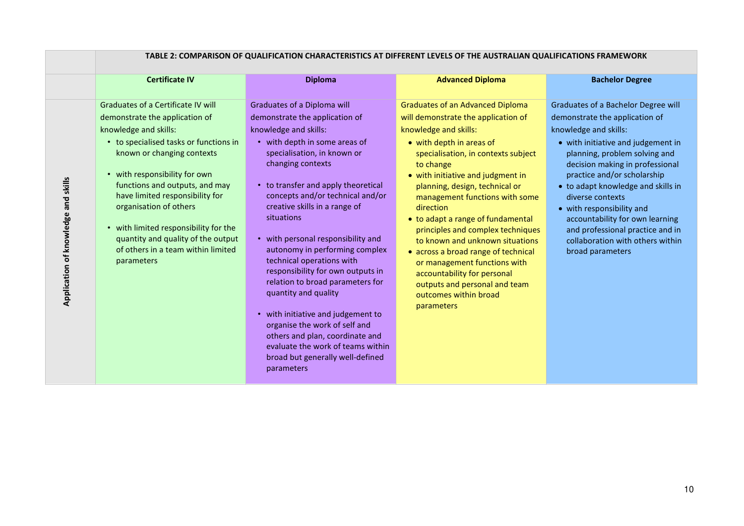|                                     | TABLE 2: COMPARISON OF QUALIFICATION CHARACTERISTICS AT DIFFERENT LEVELS OF THE AUSTRALIAN QUALIFICATIONS FRAMEWORK                                                                                                                                                                                                                                                                                                                      |                                                                                                                                                                                                                                                                                                                                                                                                                                                                                                                                                                                                                                                                                                              |                                                                                                                                                                                                                                                                                                                                                                                                                                                                                                                                                                                                          |                                                                                                                                                                                                                                                                                                                                                                                                                                                               |
|-------------------------------------|------------------------------------------------------------------------------------------------------------------------------------------------------------------------------------------------------------------------------------------------------------------------------------------------------------------------------------------------------------------------------------------------------------------------------------------|--------------------------------------------------------------------------------------------------------------------------------------------------------------------------------------------------------------------------------------------------------------------------------------------------------------------------------------------------------------------------------------------------------------------------------------------------------------------------------------------------------------------------------------------------------------------------------------------------------------------------------------------------------------------------------------------------------------|----------------------------------------------------------------------------------------------------------------------------------------------------------------------------------------------------------------------------------------------------------------------------------------------------------------------------------------------------------------------------------------------------------------------------------------------------------------------------------------------------------------------------------------------------------------------------------------------------------|---------------------------------------------------------------------------------------------------------------------------------------------------------------------------------------------------------------------------------------------------------------------------------------------------------------------------------------------------------------------------------------------------------------------------------------------------------------|
|                                     | <b>Certificate IV</b>                                                                                                                                                                                                                                                                                                                                                                                                                    | <b>Diploma</b>                                                                                                                                                                                                                                                                                                                                                                                                                                                                                                                                                                                                                                                                                               | <b>Advanced Diploma</b>                                                                                                                                                                                                                                                                                                                                                                                                                                                                                                                                                                                  | <b>Bachelor Degree</b>                                                                                                                                                                                                                                                                                                                                                                                                                                        |
| Application of knowledge and skills | Graduates of a Certificate IV will<br>demonstrate the application of<br>knowledge and skills:<br>• to specialised tasks or functions in<br>known or changing contexts<br>• with responsibility for own<br>functions and outputs, and may<br>have limited responsibility for<br>organisation of others<br>• with limited responsibility for the<br>quantity and quality of the output<br>of others in a team within limited<br>parameters | Graduates of a Diploma will<br>demonstrate the application of<br>knowledge and skills:<br>• with depth in some areas of<br>specialisation, in known or<br>changing contexts<br>• to transfer and apply theoretical<br>concepts and/or technical and/or<br>creative skills in a range of<br>situations<br>• with personal responsibility and<br>autonomy in performing complex<br>technical operations with<br>responsibility for own outputs in<br>relation to broad parameters for<br>quantity and quality<br>• with initiative and judgement to<br>organise the work of self and<br>others and plan, coordinate and<br>evaluate the work of teams within<br>broad but generally well-defined<br>parameters | <b>Graduates of an Advanced Diploma</b><br>will demonstrate the application of<br>knowledge and skills:<br>• with depth in areas of<br>specialisation, in contexts subject<br>to change<br>• with initiative and judgment in<br>planning, design, technical or<br>management functions with some<br>direction<br>• to adapt a range of fundamental<br>principles and complex techniques<br>to known and unknown situations<br>• across a broad range of technical<br>or management functions with<br>accountability for personal<br>outputs and personal and team<br>outcomes within broad<br>parameters | Graduates of a Bachelor Degree will<br>demonstrate the application of<br>knowledge and skills:<br>• with initiative and judgement in<br>planning, problem solving and<br>decision making in professional<br>practice and/or scholarship<br>• to adapt knowledge and skills in<br>diverse contexts<br>• with responsibility and<br>accountability for own learning<br>and professional practice and in<br>collaboration with others within<br>broad parameters |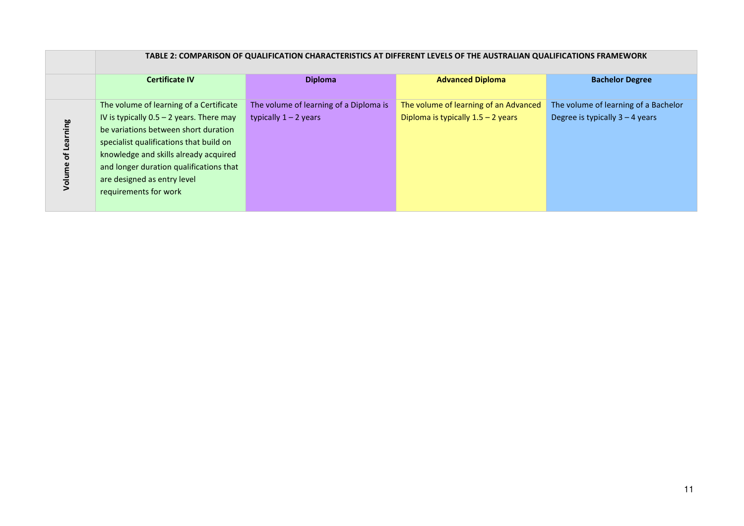|     | TABLE 2: COMPARISON OF QUALIFICATION CHARACTERISTICS AT DIFFERENT LEVELS OF THE AUSTRALIAN QUALIFICATIONS FRAMEWORK |                                        |                                       |                                      |  |
|-----|---------------------------------------------------------------------------------------------------------------------|----------------------------------------|---------------------------------------|--------------------------------------|--|
|     | <b>Certificate IV</b>                                                                                               | <b>Diploma</b>                         | <b>Advanced Diploma</b>               | <b>Bachelor Degree</b>               |  |
|     | The volume of learning of a Certificate                                                                             | The volume of learning of a Diploma is | The volume of learning of an Advanced | The volume of learning of a Bachelor |  |
|     | IV is typically $0.5 - 2$ years. There may                                                                          | typically $1 - 2$ years                | Diploma is typically $1.5 - 2$ years  | Degree is typically $3 - 4$ years    |  |
| gui | be variations between short duration                                                                                |                                        |                                       |                                      |  |
|     | specialist qualifications that build on                                                                             |                                        |                                       |                                      |  |
|     | knowledge and skills already acquired                                                                               |                                        |                                       |                                      |  |
|     | and longer duration qualifications that                                                                             |                                        |                                       |                                      |  |
|     | are designed as entry level                                                                                         |                                        |                                       |                                      |  |
|     | requirements for work                                                                                               |                                        |                                       |                                      |  |
|     |                                                                                                                     |                                        |                                       |                                      |  |